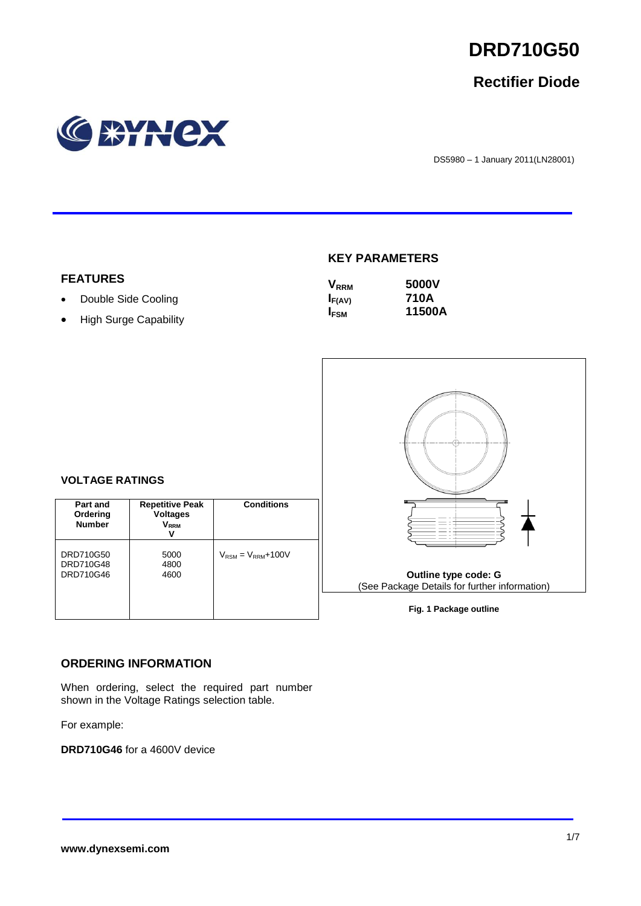

# **Rectifier Diode**



DS5980 – 1 January 2011(LN28001)

#### **KEY PARAMETERS**

| $\mathsf{V}_{\mathsf{RRM}}$ | 5000V  |
|-----------------------------|--------|
| $I_{F(AV)}$                 | 710A   |
| <b>IFSM</b>                 | 11500A |



**Fig. 1 Package outline**

### **VOLTAGE RATINGS**

**FEATURES**

• Double Side Cooling • High Surge Capability

| Part and<br>Ordering<br><b>Number</b> | <b>Repetitive Peak</b><br><b>Voltages</b><br>$V_{RRM}$<br>v | <b>Conditions</b>                        |
|---------------------------------------|-------------------------------------------------------------|------------------------------------------|
| DRD710G50<br>DRD710G48<br>DRD710G46   | 5000<br>4800<br>4600                                        | $V_{\text{RSM}} = V_{\text{RRM}} + 100V$ |

#### **ORDERING INFORMATION**

When ordering, select the required part number shown in the Voltage Ratings selection table.

For example:

**DRD710G46** for a 4600V device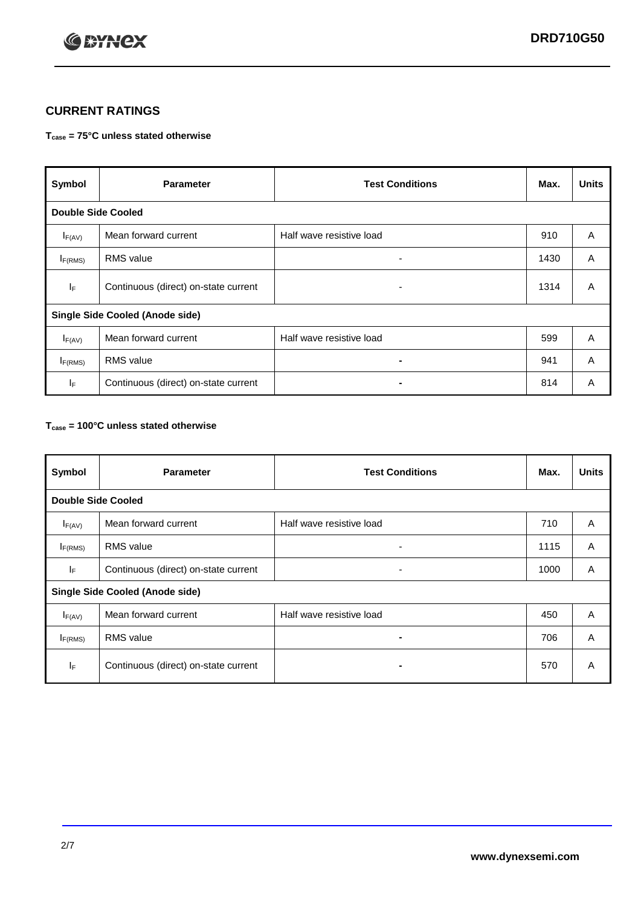

## **CURRENT RATINGS**

#### **Tcase = 75°C unless stated otherwise**

| Symbol                                 | <b>Parameter</b>                     | <b>Test Conditions</b>   | Max. | <b>Units</b> |
|----------------------------------------|--------------------------------------|--------------------------|------|--------------|
| <b>Double Side Cooled</b>              |                                      |                          |      |              |
| $I_{F(AV)}$                            | Mean forward current                 | Half wave resistive load | 910  | A            |
| $I_{F(RMS)}$                           | <b>RMS</b> value                     | ۰                        | 1430 | A            |
| lF.                                    | Continuous (direct) on-state current | ۰                        | 1314 | A            |
| <b>Single Side Cooled (Anode side)</b> |                                      |                          |      |              |
| $I_{F(AV)}$                            | Mean forward current                 | Half wave resistive load | 599  | A            |
| $I_{F(RMS)}$                           | <b>RMS</b> value                     | ۰.                       | 941  | A            |
| IF.                                    | Continuous (direct) on-state current |                          | 814  | A            |

#### **Tcase = 100°C unless stated otherwise**

| Symbol                                 | <b>Parameter</b>                     | <b>Test Conditions</b>   | Max. | <b>Units</b> |
|----------------------------------------|--------------------------------------|--------------------------|------|--------------|
| <b>Double Side Cooled</b>              |                                      |                          |      |              |
| $I_{F(AV)}$                            | Mean forward current                 | Half wave resistive load | 710  | A            |
| $I_{F(RMS)}$                           | <b>RMS</b> value                     | ۰                        | 1115 | A            |
| IF.                                    | Continuous (direct) on-state current | ٠                        | 1000 | A            |
| <b>Single Side Cooled (Anode side)</b> |                                      |                          |      |              |
| $I_{F(AV)}$                            | Mean forward current                 | Half wave resistive load | 450  | A            |
| I <sub>F(RMS)</sub>                    | <b>RMS</b> value                     |                          | 706  | A            |
| IF                                     | Continuous (direct) on-state current | -                        | 570  | A            |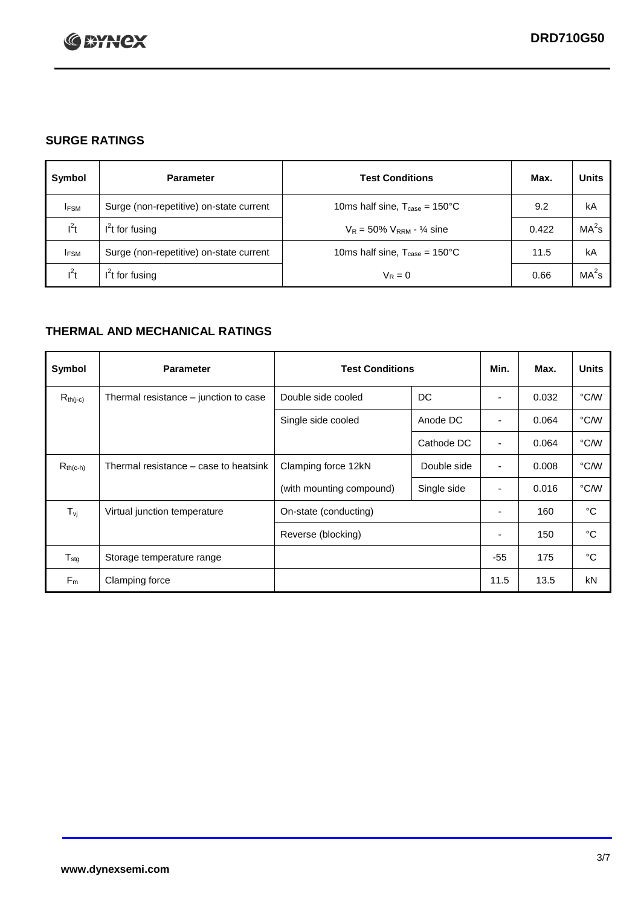

## **SURGE RATINGS**

| Symbol      | <b>Parameter</b>                        | <b>Test Conditions</b>                            | Max.  | <b>Units</b>      |
|-------------|-----------------------------------------|---------------------------------------------------|-------|-------------------|
| <b>IFSM</b> | Surge (non-repetitive) on-state current | 10ms half sine, $T_{\text{case}} = 150^{\circ}$ C | 9.2   | kA                |
| $l^2t$      | $I2t$ for fusing                        | $V_R = 50\% V_{RRM} - \frac{1}{4}$ sine           | 0.422 | MA <sup>2</sup> s |
| <b>IFSM</b> | Surge (non-repetitive) on-state current | 10ms half sine, $T_{\text{case}} = 150^{\circ}$ C | 11.5  | kA                |
| $l^2t$      | $l^2$ t for fusing                      | $V_R = 0$                                         | 0.66  | $MA2$ s           |

## **THERMAL AND MECHANICAL RATINGS**

| Symbol                         | <b>Parameter</b>                      | <b>Test Conditions</b>   |             | Min.                     | Max.  | <b>Units</b> |
|--------------------------------|---------------------------------------|--------------------------|-------------|--------------------------|-------|--------------|
| $R_{th(j-c)}$                  | Thermal resistance - junction to case | Double side cooled       | DC          |                          | 0.032 | °C/W         |
|                                |                                       | Single side cooled       | Anode DC    |                          | 0.064 | °C/W         |
|                                |                                       |                          | Cathode DC  |                          | 0.064 | °C/W         |
| $R_{th(c-h)}$                  | Thermal resistance – case to heatsink | Clamping force 12kN      | Double side | ٠                        | 0.008 | °C/W         |
|                                |                                       | (with mounting compound) | Single side | ٠                        | 0.016 | °C/W         |
| $T_{\rm\scriptscriptstyle VI}$ | Virtual junction temperature          | On-state (conducting)    |             | $\overline{\phantom{a}}$ | 160   | °C           |
|                                |                                       | Reverse (blocking)       |             | $\overline{\phantom{a}}$ | 150   | °C           |
| $T_{\text{stg}}$               | Storage temperature range             |                          |             | $-55$                    | 175   | °C           |
| $F_m$                          | Clamping force                        |                          |             | 11.5                     | 13.5  | kN           |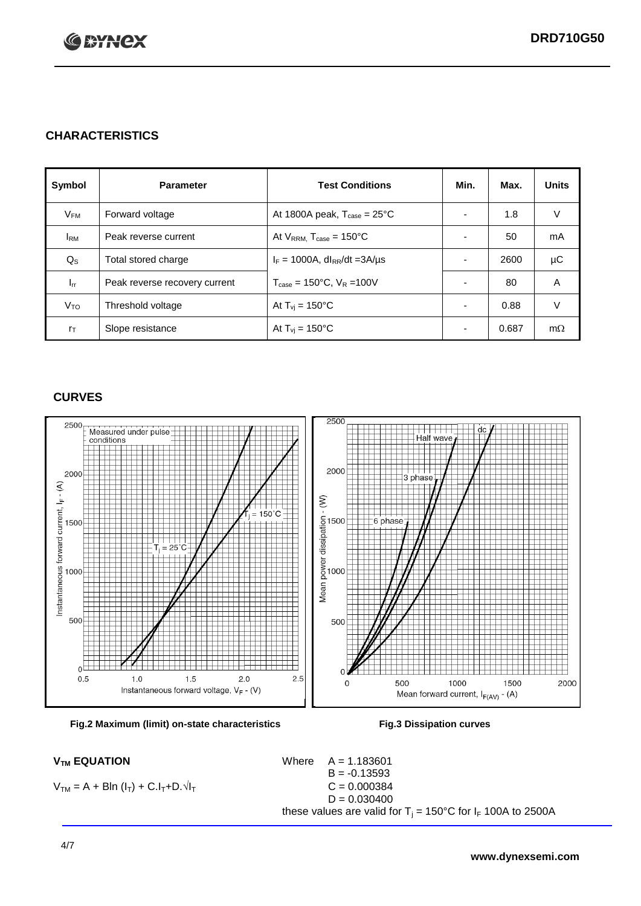

## **CHARACTERISTICS**

| Symbol         | <b>Parameter</b>              | <b>Test Conditions</b>                          | Min.                     | Max.  | <b>Units</b> |
|----------------|-------------------------------|-------------------------------------------------|--------------------------|-------|--------------|
| $V_{FM}$       | Forward voltage               | At 1800A peak, $T_{\text{case}} = 25^{\circ}C$  |                          | 1.8   | V            |
| <b>I</b> RM    | Peak reverse current          | At $V_{RRM}$ , $T_{case} = 150^{\circ}C$        |                          | 50    | mA           |
| $Q_{\rm S}$    | Total stored charge           | $I_F = 1000A$ , dl <sub>RR</sub> /dt = 3A/us    |                          | 2600  | μC           |
| $I_{rr}$       | Peak reverse recovery current | $T_{\text{case}} = 150^{\circ}$ C, $V_R = 100V$ |                          | 80    | A            |
| $V_{TO}$       | Threshold voltage             | At $T_{\rm{vj}}$ = 150°C                        |                          | 0.88  | V            |
| $r_{\text{T}}$ | Slope resistance              | At $T_{vi}$ = 150°C                             | $\overline{\phantom{0}}$ | 0.687 | $m\Omega$    |

## **CURVES**





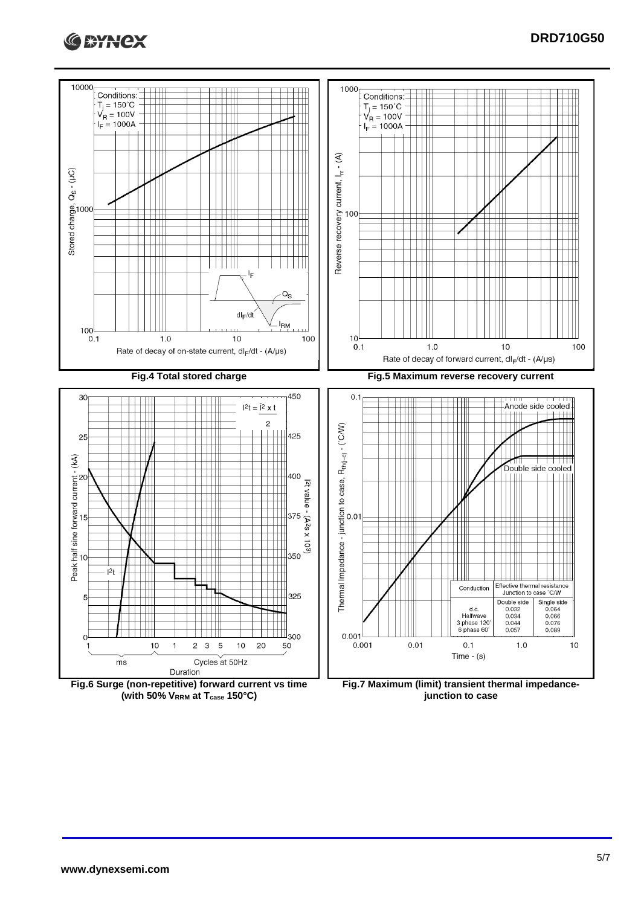



**(with 50% VRRM at Tcase 150°C)**

**junction to case**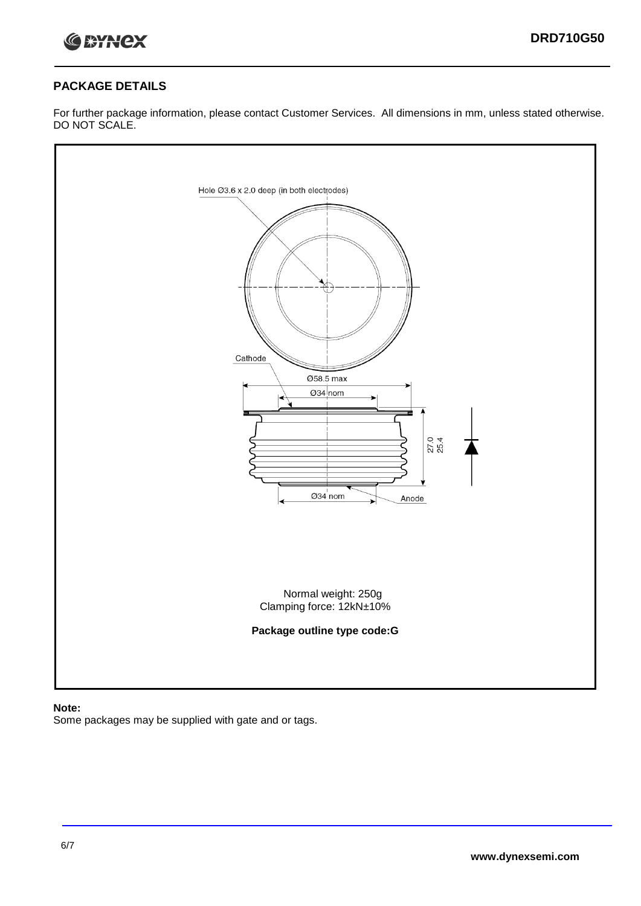

#### **PACKAGE DETAILS**

For further package information, please contact Customer Services. All dimensions in mm, unless stated otherwise. DO NOT SCALE.



#### **Note:**

Some packages may be supplied with gate and or tags.